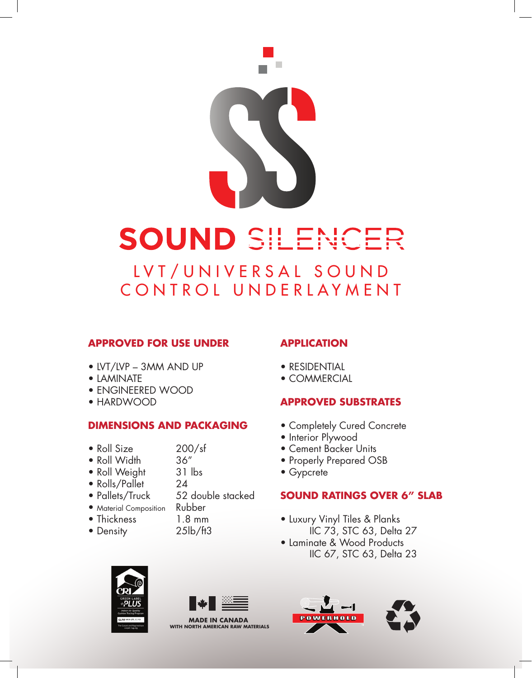

# SOUND SILENCER

LVT/UNIVERSAL SOUND CONTROL UNDERLAYMENT

# **APPROVED FOR USE UNDER**

- LVT/LVP 3MM AND UP
- LAMINATE
- ENGINEERED WOOD
- HARDWOOD

# **DIMENSIONS AND PACKAGING**

- Roll Size 200/sf<br>• Roll Width 36"
	-
- Roll Width • Roll Weight 31 lbs
- Rolls/Pallet 24
- Pallets/Truck 52 double stacked
- Material Composition Rubber
- Thickness 1.8 mm
- Density 25lb/ft3
- -

# **APPLICATION**

- RESIDENTIAL
- COMMERCIAL

# **APPROVED SUBSTRATES**

- Completely Cured Concrete
- Interior Plywood
- Cement Backer Units
- Properly Prepared OSB
- Gypcrete

# **SOUND RATINGS OVER 6" SLAB**

- Luxury Vinyl Tiles & Planks IIC 73, STC 63, Delta 27
- Laminate & Wood Products IIC 67, STC 63, Delta 23





**MADE IN CANADA WITH NORTH AMERICAN RAW MATERIALS**